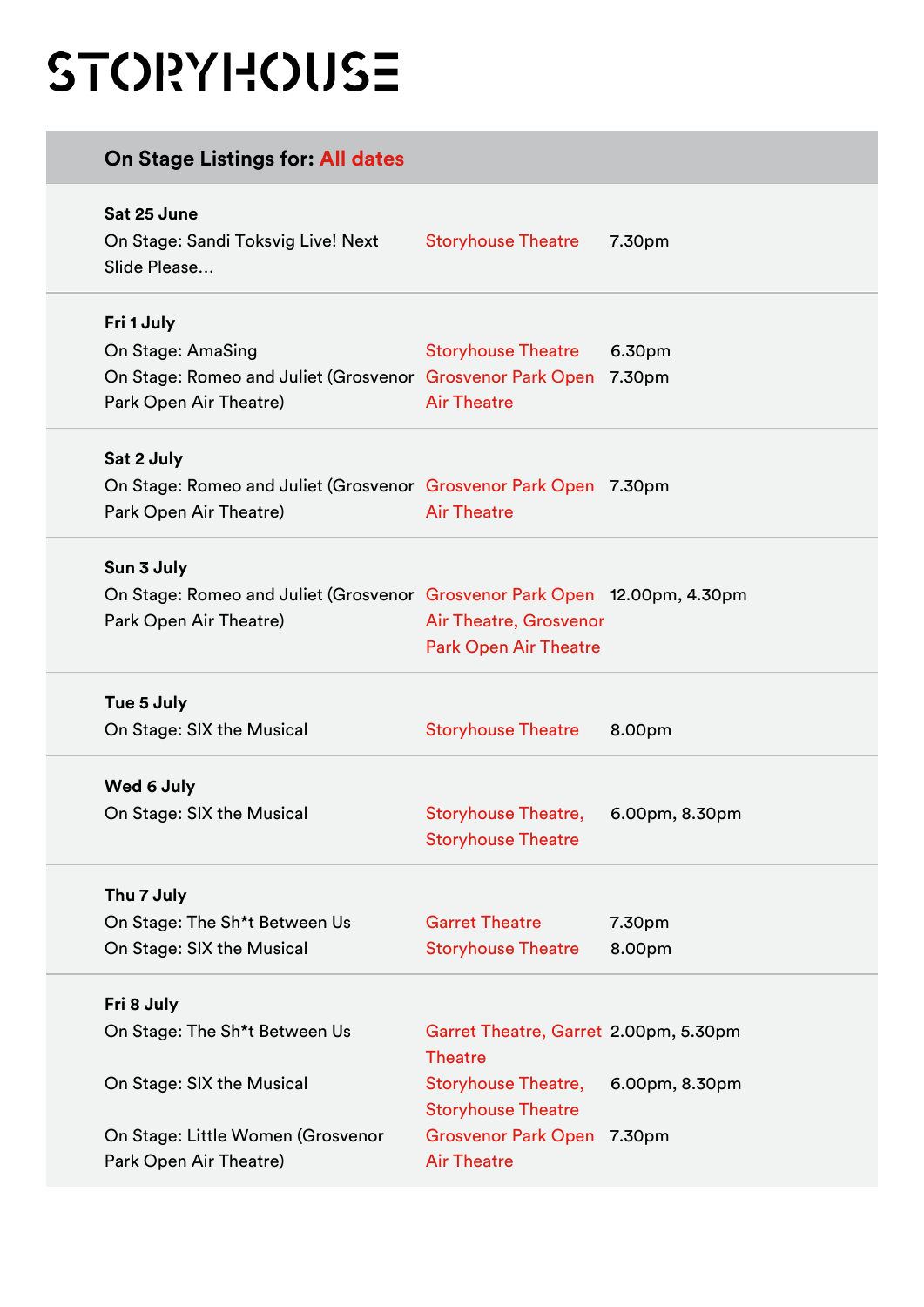## STORYHOUSE

| On Stage Listings for: All dates                                          |                                                         |                |
|---------------------------------------------------------------------------|---------------------------------------------------------|----------------|
| Sat 25 June<br>On Stage: Sandi Toksvig Live! Next                         | <b>Storyhouse Theatre</b>                               | 7.30pm         |
| Slide Please                                                              |                                                         |                |
| Fri 1 July                                                                |                                                         |                |
| On Stage: AmaSing                                                         | <b>Storyhouse Theatre</b>                               | 6.30pm         |
| On Stage: Romeo and Juliet (Grosvenor Grosvenor Park Open 7.30pm          |                                                         |                |
| Park Open Air Theatre)                                                    | <b>Air Theatre</b>                                      |                |
| Sat 2 July                                                                |                                                         |                |
| On Stage: Romeo and Juliet (Grosvenor Grosvenor Park Open 7.30pm          |                                                         |                |
| Park Open Air Theatre)                                                    | <b>Air Theatre</b>                                      |                |
|                                                                           |                                                         |                |
| Sun 3 July                                                                |                                                         |                |
| On Stage: Romeo and Juliet (Grosvenor Grosvenor Park Open 12.00pm, 4.30pm |                                                         |                |
| Park Open Air Theatre)                                                    | Air Theatre, Grosvenor                                  |                |
|                                                                           | <b>Park Open Air Theatre</b>                            |                |
| Tue 5 July                                                                |                                                         |                |
| On Stage: SIX the Musical                                                 | <b>Storyhouse Theatre</b>                               | 8.00pm         |
| Wed 6 July                                                                |                                                         |                |
| On Stage: SIX the Musical                                                 | <b>Storyhouse Theatre,</b>                              | 6.00pm, 8.30pm |
|                                                                           | <b>Storyhouse Theatre</b>                               |                |
| Thu 7 July                                                                |                                                         |                |
| On Stage: The Sh*t Between Us                                             | <b>Garret Theatre</b>                                   | 7.30pm         |
| On Stage: SIX the Musical                                                 | <b>Storyhouse Theatre</b>                               | 8.00pm         |
| Fri 8 July                                                                |                                                         |                |
| On Stage: The Sh*t Between Us                                             | Garret Theatre, Garret 2.00pm, 5.30pm                   |                |
|                                                                           | <b>Theatre</b>                                          |                |
| On Stage: SIX the Musical                                                 | <b>Storyhouse Theatre,</b><br><b>Storyhouse Theatre</b> | 6.00pm, 8.30pm |
| On Stage: Little Women (Grosvenor                                         | Grosvenor Park Open 7.30pm                              |                |
| Park Open Air Theatre)                                                    | <b>Air Theatre</b>                                      |                |
|                                                                           |                                                         |                |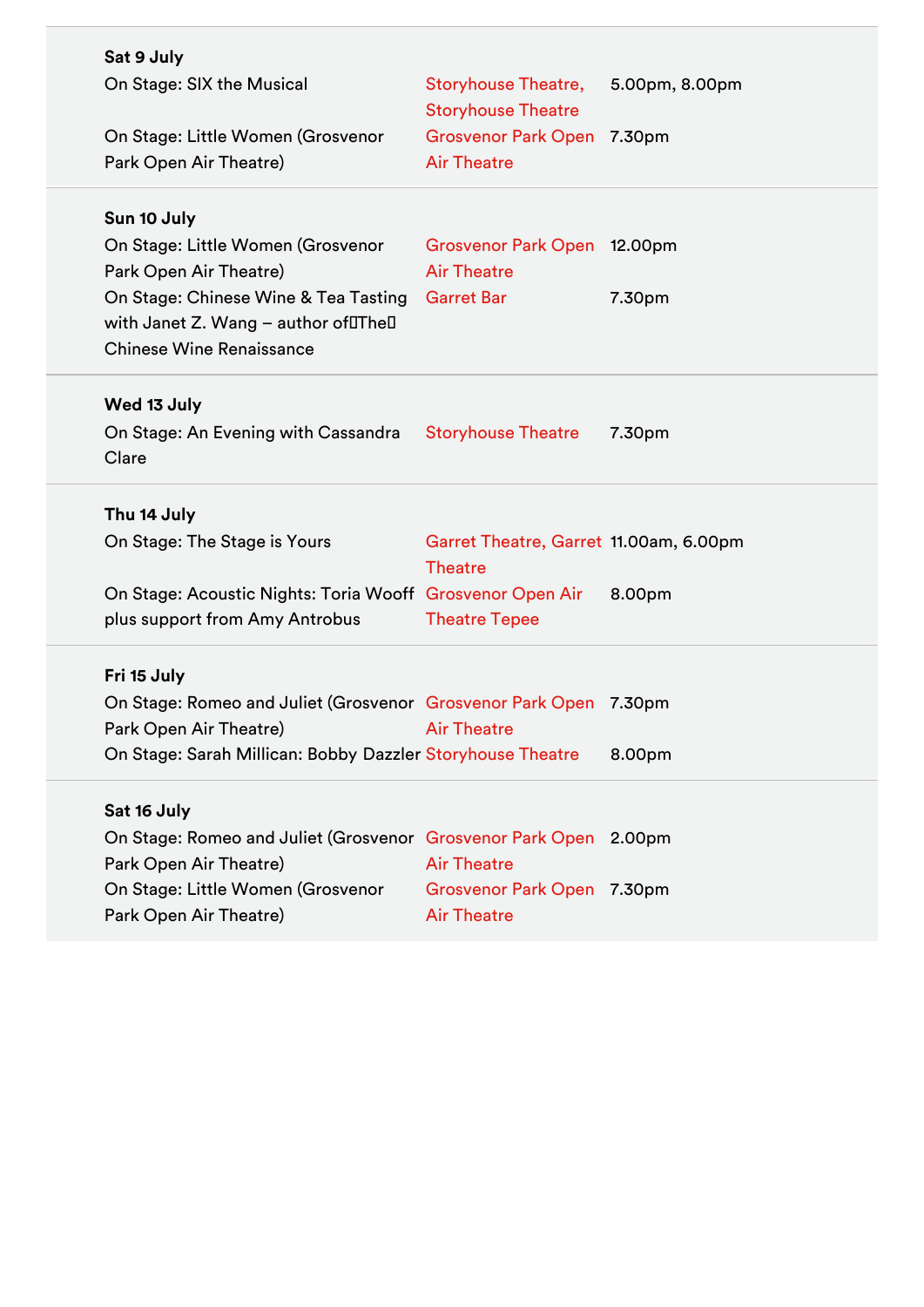| Sat 9 July                                                                                                     |                                                          |                |
|----------------------------------------------------------------------------------------------------------------|----------------------------------------------------------|----------------|
| On Stage: SIX the Musical                                                                                      | <b>Storyhouse Theatre,</b><br><b>Storyhouse Theatre</b>  | 5.00pm, 8.00pm |
| On Stage: Little Women (Grosvenor                                                                              | Grosvenor Park Open 7.30pm                               |                |
| Park Open Air Theatre)                                                                                         | <b>Air Theatre</b>                                       |                |
| Sun 10 July                                                                                                    |                                                          |                |
| On Stage: Little Women (Grosvenor                                                                              | Grosvenor Park Open 12.00pm                              |                |
| Park Open Air Theatre)                                                                                         | <b>Air Theatre</b>                                       |                |
| On Stage: Chinese Wine & Tea Tasting<br>with Janet Z. Wang - author ofDTheD<br><b>Chinese Wine Renaissance</b> | <b>Garret Bar</b>                                        | 7.30pm         |
| Wed 13 July                                                                                                    |                                                          |                |
| On Stage: An Evening with Cassandra<br>Clare                                                                   | <b>Storyhouse Theatre</b>                                | 7.30pm         |
| Thu 14 July                                                                                                    |                                                          |                |
|                                                                                                                |                                                          |                |
| On Stage: The Stage is Yours                                                                                   | Garret Theatre, Garret 11.00am, 6.00pm<br><b>Theatre</b> |                |
| On Stage: Acoustic Nights: Toria Wooff Grosvenor Open Air                                                      |                                                          | 8.00pm         |
| plus support from Amy Antrobus                                                                                 | <b>Theatre Tepee</b>                                     |                |
| Fri 15 July                                                                                                    |                                                          |                |
| On Stage: Romeo and Juliet (Grosvenor Grosvenor Park Open 7.30pm                                               |                                                          |                |
| Park Open Air Theatre)<br><b>Example 2016 Air Theatre</b>                                                      |                                                          |                |
| On Stage: Sarah Millican: Bobby Dazzler Storyhouse Theatre                                                     |                                                          | 8.00pm         |
| Sat 16 July                                                                                                    |                                                          |                |
| On Stage: Romeo and Juliet (Grosvenor Grosvenor Park Open 2.00pm                                               |                                                          |                |
| Park Open Air Theatre)                                                                                         | <b>Air Theatre</b>                                       |                |
| On Stage: Little Women (Grosvenor                                                                              | Grosvenor Park Open 7.30pm                               |                |
| Park Open Air Theatre)                                                                                         | <b>Air Theatre</b>                                       |                |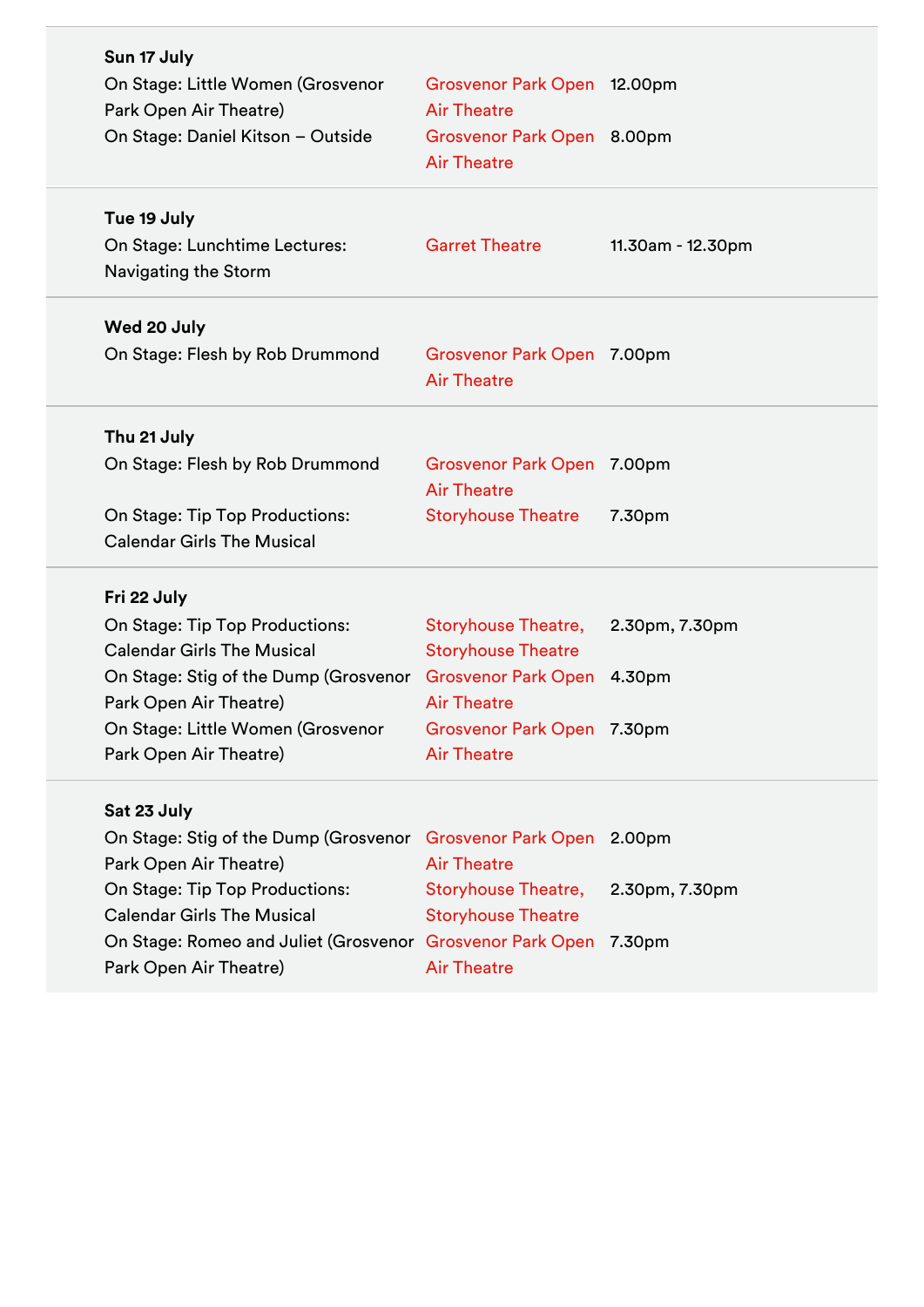| Sun 17 July<br>On Stage: Little Women (Grosvenor<br>Park Open Air Theatre)<br>On Stage: Daniel Kitson - Outside                                                                                                                                                                | Grosvenor Park Open 12.00pm<br><b>Air Theatre</b><br>Grosvenor Park Open 8.00pm<br><b>Air Theatre</b>                             |                   |
|--------------------------------------------------------------------------------------------------------------------------------------------------------------------------------------------------------------------------------------------------------------------------------|-----------------------------------------------------------------------------------------------------------------------------------|-------------------|
| Tue 19 July<br>On Stage: Lunchtime Lectures:<br><b>Navigating the Storm</b>                                                                                                                                                                                                    | <b>Garret Theatre</b>                                                                                                             | 11.30am - 12.30pm |
| Wed 20 July<br>On Stage: Flesh by Rob Drummond                                                                                                                                                                                                                                 | Grosvenor Park Open 7.00pm<br><b>Air Theatre</b>                                                                                  |                   |
| Thu 21 July<br>On Stage: Flesh by Rob Drummond<br>On Stage: Tip Top Productions:<br><b>Calendar Girls The Musical</b>                                                                                                                                                          | Grosvenor Park Open 7.00pm<br><b>Air Theatre</b><br><b>Storyhouse Theatre</b>                                                     | 7.30pm            |
| Fri 22 July<br>On Stage: Tip Top Productions:<br><b>Calendar Girls The Musical</b><br>On Stage: Stig of the Dump (Grosvenor Grosvenor Park Open 4.30pm<br>Park Open Air Theatre)<br>On Stage: Little Women (Grosvenor<br>Park Open Air Theatre)                                | <b>Storyhouse Theatre,</b><br><b>Storyhouse Theatre</b><br><b>Air Theatre</b><br>Grosvenor Park Open 7.30pm<br><b>Air Theatre</b> | 2.30pm, 7.30pm    |
| Sat 23 July<br>On Stage: Stig of the Dump (Grosvenor Grosvenor Park Open 2.00pm<br>Park Open Air Theatre)<br>On Stage: Tip Top Productions:<br><b>Calendar Girls The Musical</b><br>On Stage: Romeo and Juliet (Grosvenor Grosvenor Park Open 7.30pm<br>Park Open Air Theatre) | <b>Air Theatre</b><br><b>Storyhouse Theatre,</b><br><b>Storyhouse Theatre</b><br><b>Air Theatre</b>                               | 2.30pm, 7.30pm    |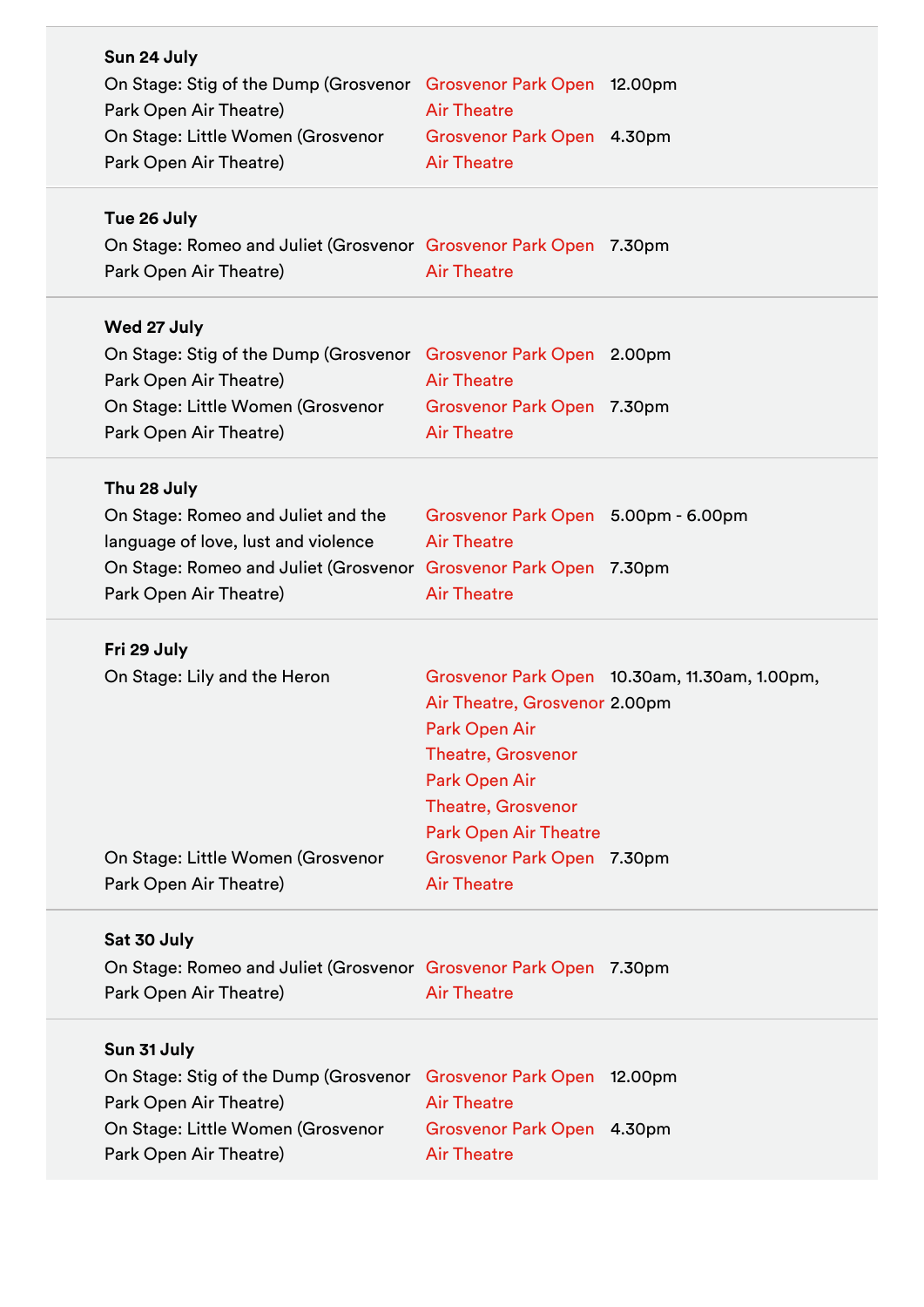| Sun 24 July                                                               |                                                           |                                               |
|---------------------------------------------------------------------------|-----------------------------------------------------------|-----------------------------------------------|
| On Stage: Stig of the Dump (Grosvenor Grosvenor Park Open 12.00pm         |                                                           |                                               |
| Park Open Air Theatre)                                                    | <b>Air Theatre</b>                                        |                                               |
| On Stage: Little Women (Grosvenor                                         | Grosvenor Park Open 4.30pm                                |                                               |
| Park Open Air Theatre)                                                    | <b>Air Theatre</b>                                        |                                               |
| Tue 26 July                                                               |                                                           |                                               |
| On Stage: Romeo and Juliet (Grosvenor Grosvenor Park Open 7.30pm          |                                                           |                                               |
| Park Open Air Theatre)                                                    | <b>Air Theatre</b>                                        |                                               |
| Wed 27 July                                                               |                                                           |                                               |
| On Stage: Stig of the Dump (Grosvenor Grosvenor Park Open 2.00pm          |                                                           |                                               |
| Park Open Air Theatre)                                                    | <b>Air Theatre</b>                                        |                                               |
| On Stage: Little Women (Grosvenor                                         | Grosvenor Park Open 7.30pm                                |                                               |
| Park Open Air Theatre)                                                    | <b>Air Theatre</b>                                        |                                               |
|                                                                           |                                                           |                                               |
| Thu 28 July                                                               |                                                           |                                               |
| On Stage: Romeo and Juliet and the<br>language of love, lust and violence | Grosvenor Park Open 5.00pm - 6.00pm<br><b>Air Theatre</b> |                                               |
| On Stage: Romeo and Juliet (Grosvenor Grosvenor Park Open 7.30pm          |                                                           |                                               |
| Park Open Air Theatre)                                                    | <b>Air Theatre</b>                                        |                                               |
|                                                                           |                                                           |                                               |
| Fri 29 July                                                               |                                                           |                                               |
| On Stage: Lily and the Heron                                              |                                                           | Grosvenor Park Open 10.30am, 11.30am, 1.00pm, |
|                                                                           | Air Theatre, Grosvenor 2.00pm                             |                                               |
|                                                                           | Park Open Air                                             |                                               |
|                                                                           | <b>Theatre, Grosvenor</b>                                 |                                               |
|                                                                           | Park Open Air                                             |                                               |
|                                                                           | <b>Theatre, Grosvenor</b>                                 |                                               |
|                                                                           | <b>Park Open Air Theatre</b>                              |                                               |
| On Stage: Little Women (Grosvenor                                         | Grosvenor Park Open 7.30pm                                |                                               |
| Park Open Air Theatre)                                                    | <b>Air Theatre</b>                                        |                                               |
| Sat 30 July                                                               |                                                           |                                               |
| On Stage: Romeo and Juliet (Grosvenor Grosvenor Park Open 7.30pm          |                                                           |                                               |
| Park Open Air Theatre)                                                    | <b>Air Theatre</b>                                        |                                               |
| Sun 31 July                                                               |                                                           |                                               |
| On Stage: Stig of the Dump (Grosvenor                                     | Grosvenor Park Open 12.00pm                               |                                               |
| Park Open Air Theatre)                                                    | <b>Air Theatre</b>                                        |                                               |
| On Stage: Little Women (Grosvenor                                         | Grosvenor Park Open 4.30pm                                |                                               |
| Park Open Air Theatre)                                                    | <b>Air Theatre</b>                                        |                                               |
|                                                                           |                                                           |                                               |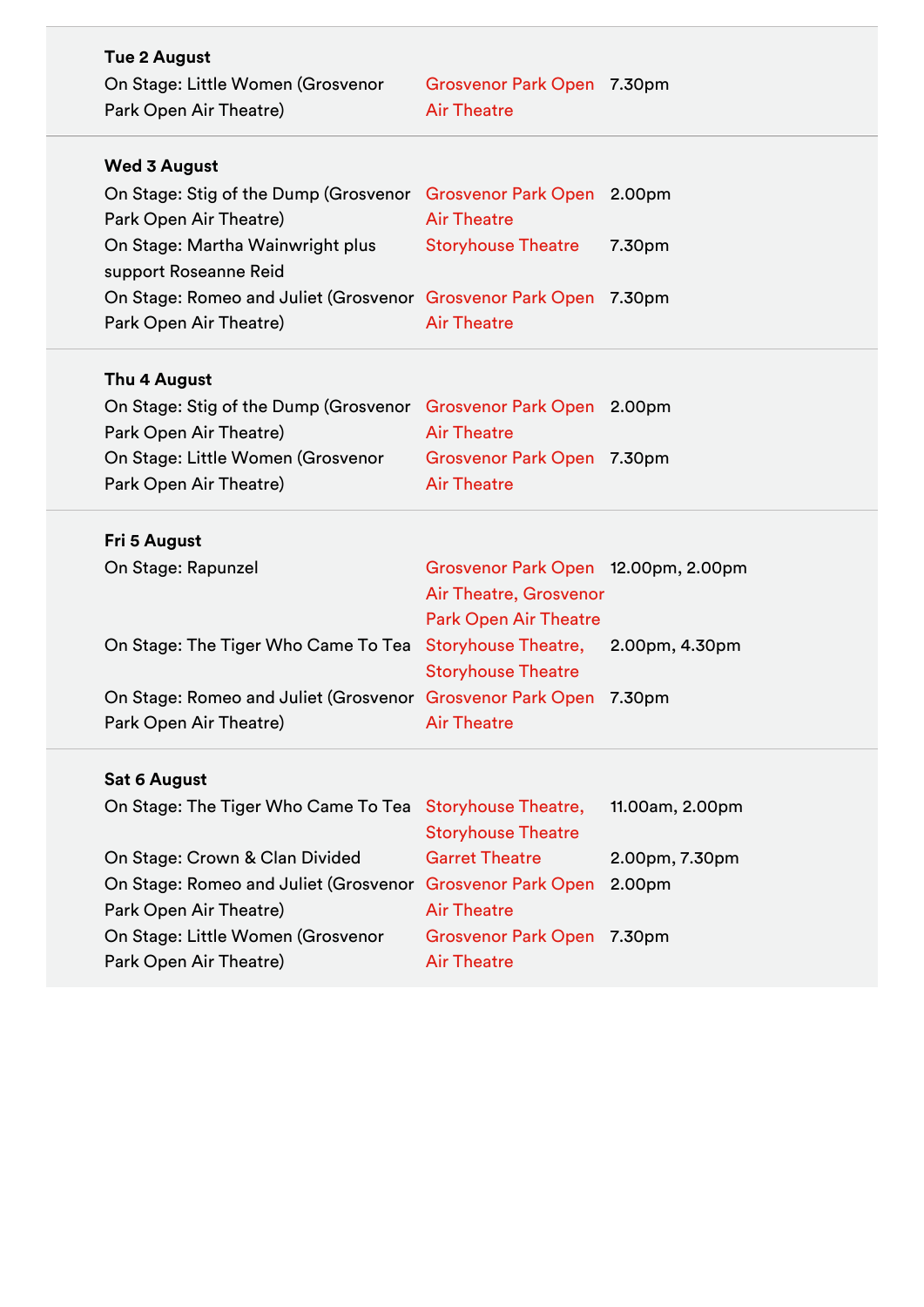| <b>Tue 2 August</b><br>On Stage: Little Women (Grosvenor<br>Park Open Air Theatre) | Grosvenor Park Open 7.30pm<br><b>Air Theatre</b>        |                 |
|------------------------------------------------------------------------------------|---------------------------------------------------------|-----------------|
| <b>Wed 3 August</b>                                                                |                                                         |                 |
| On Stage: Stig of the Dump (Grosvenor Grosvenor Park Open 2.00pm                   |                                                         |                 |
| Park Open Air Theatre)                                                             | <b>Air Theatre</b>                                      |                 |
| On Stage: Martha Wainwright plus<br>support Roseanne Reid                          | <b>Storyhouse Theatre</b>                               | 7.30pm          |
| On Stage: Romeo and Juliet (Grosvenor Grosvenor Park Open 7.30pm                   |                                                         |                 |
| Park Open Air Theatre)                                                             | <b>Air Theatre</b>                                      |                 |
|                                                                                    |                                                         |                 |
| Thu 4 August                                                                       |                                                         |                 |
| On Stage: Stig of the Dump (Grosvenor Grosvenor Park Open 2.00pm                   |                                                         |                 |
| Park Open Air Theatre)                                                             | <b>Air Theatre</b>                                      |                 |
| On Stage: Little Women (Grosvenor                                                  | Grosvenor Park Open 7.30pm                              |                 |
| Park Open Air Theatre)                                                             | <b>Air Theatre</b>                                      |                 |
|                                                                                    |                                                         |                 |
| Fri 5 August                                                                       |                                                         |                 |
| On Stage: Rapunzel                                                                 | Grosvenor Park Open 12.00pm, 2.00pm                     |                 |
|                                                                                    | Air Theatre, Grosvenor                                  |                 |
|                                                                                    | <b>Park Open Air Theatre</b>                            |                 |
| On Stage: The Tiger Who Came To Tea Storyhouse Theatre, 2.00pm, 4.30pm             |                                                         |                 |
|                                                                                    | <b>Storyhouse Theatre</b>                               |                 |
| On Stage: Romeo and Juliet (Grosvenor Grosvenor Park Open 7.30pm                   |                                                         |                 |
| Park Open Air Theatre)                                                             | <b>Air Theatre</b>                                      |                 |
|                                                                                    |                                                         |                 |
| <b>Sat 6 August</b>                                                                |                                                         |                 |
| On Stage: The Tiger Who Came To Tea                                                | <b>Storyhouse Theatre,</b><br><b>Storyhouse Theatre</b> | 11.00am, 2.00pm |
| On Stage: Crown & Clan Divided                                                     | <b>Garret Theatre</b>                                   | 2.00pm, 7.30pm  |
| On Stage: Romeo and Juliet (Grosvenor Grosvenor Park Open                          |                                                         | 2.00pm          |
| Park Open Air Theatre)                                                             | <b>Air Theatre</b>                                      |                 |
| On Stage: Little Women (Grosvenor                                                  | Grosvenor Park Open 7.30pm                              |                 |
| Park Open Air Theatre)                                                             | <b>Air Theatre</b>                                      |                 |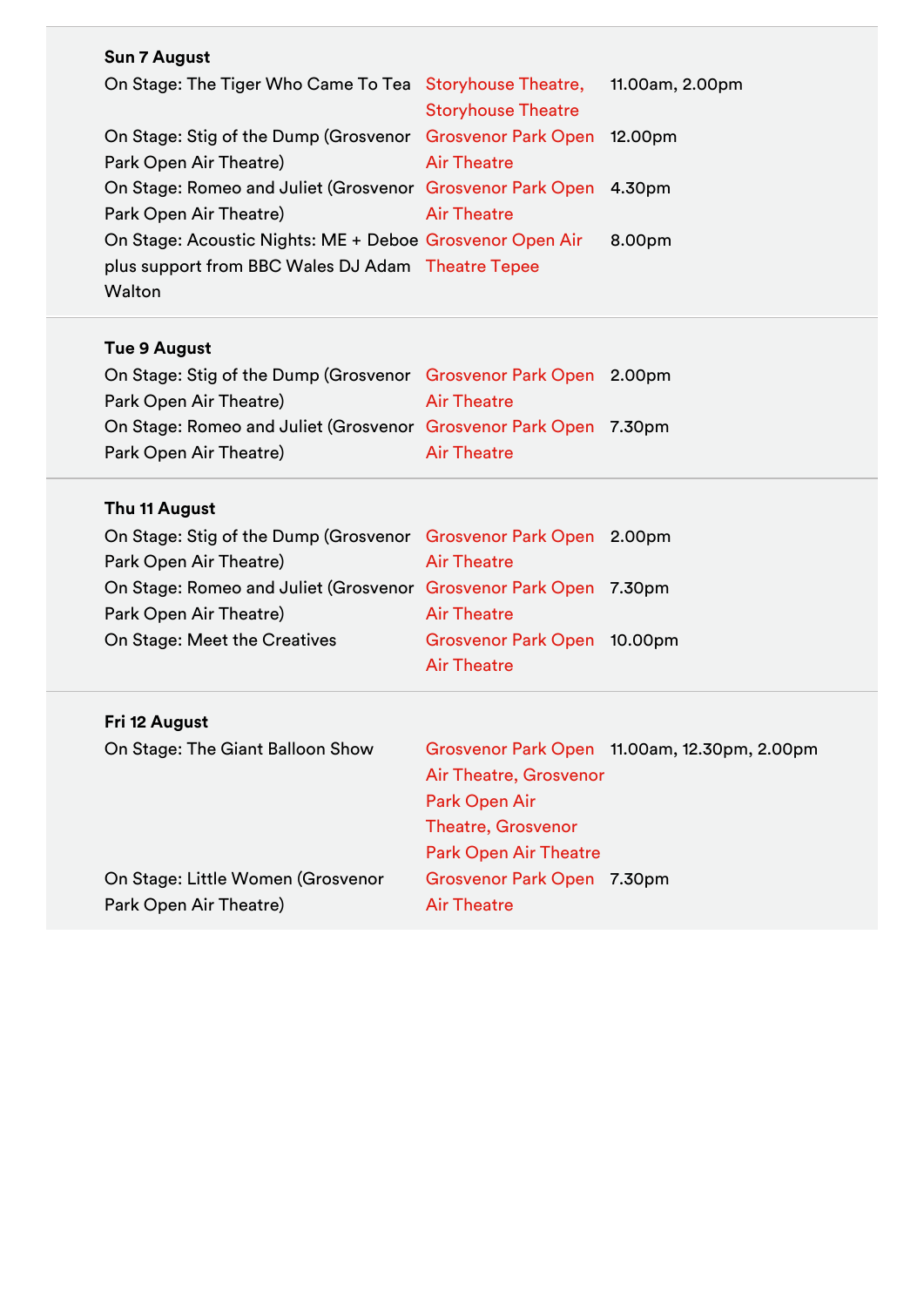| <b>Sun 7 August</b>                                               |                           |                 |
|-------------------------------------------------------------------|---------------------------|-----------------|
| On Stage: The Tiger Who Came To Tea Storyhouse Theatre,           |                           | 11.00am, 2.00pm |
|                                                                   | <b>Storyhouse Theatre</b> |                 |
| On Stage: Stig of the Dump (Grosvenor Grosvenor Park Open 12.00pm |                           |                 |
| Park Open Air Theatre)                                            | <b>Air Theatre</b>        |                 |
| On Stage: Romeo and Juliet (Grosvenor Grosvenor Park Open 4.30pm  |                           |                 |
| Park Open Air Theatre)                                            | <b>Air Theatre</b>        |                 |
| On Stage: Acoustic Nights: ME + Deboe Grosvenor Open Air          |                           | 8.00pm          |
| plus support from BBC Wales DJ Adam Theatre Tepee                 |                           |                 |
| Walton                                                            |                           |                 |
|                                                                   |                           |                 |
| Tue 9 August                                                      |                           |                 |
| On Stage: Stig of the Dump (Grosvenor Grosvenor Park Open 2.00pm  |                           |                 |
| Park Open Air Theatre)                                            | <b>Air Theatre</b>        |                 |
| On Stage: Romeo and Juliet (Grosvenor Grosvenor Park Open 7.30pm  |                           |                 |

Air Theatre

## **Thu 11 August**

Park Open Air Theatre)

| On Stage: Stig of the Dump (Grosvenor Grosvenor Park Open 2.00pm |                             |  |
|------------------------------------------------------------------|-----------------------------|--|
| Park Open Air Theatre)                                           | <b>Air Theatre</b>          |  |
| On Stage: Romeo and Juliet (Grosvenor Grosvenor Park Open 7.30pm |                             |  |
| Park Open Air Theatre)                                           | <b>Air Theatre</b>          |  |
| On Stage: Meet the Creatives                                     | Grosvenor Park Open 10.00pm |  |
|                                                                  | <b>Air Theatre</b>          |  |
|                                                                  |                             |  |

## **Fri 12 August**

| On Stage: The Giant Balloon Show  | Grosvenor Park Open 11.00am, 12.30pm, 2.00pm<br>Air Theatre, Grosvenor |
|-----------------------------------|------------------------------------------------------------------------|
|                                   | Park Open Air                                                          |
|                                   | <b>Theatre, Grosvenor</b>                                              |
|                                   | <b>Park Open Air Theatre</b>                                           |
| On Stage: Little Women (Grosvenor | Grosvenor Park Open 7.30pm                                             |
| Park Open Air Theatre)            | <b>Air Theatre</b>                                                     |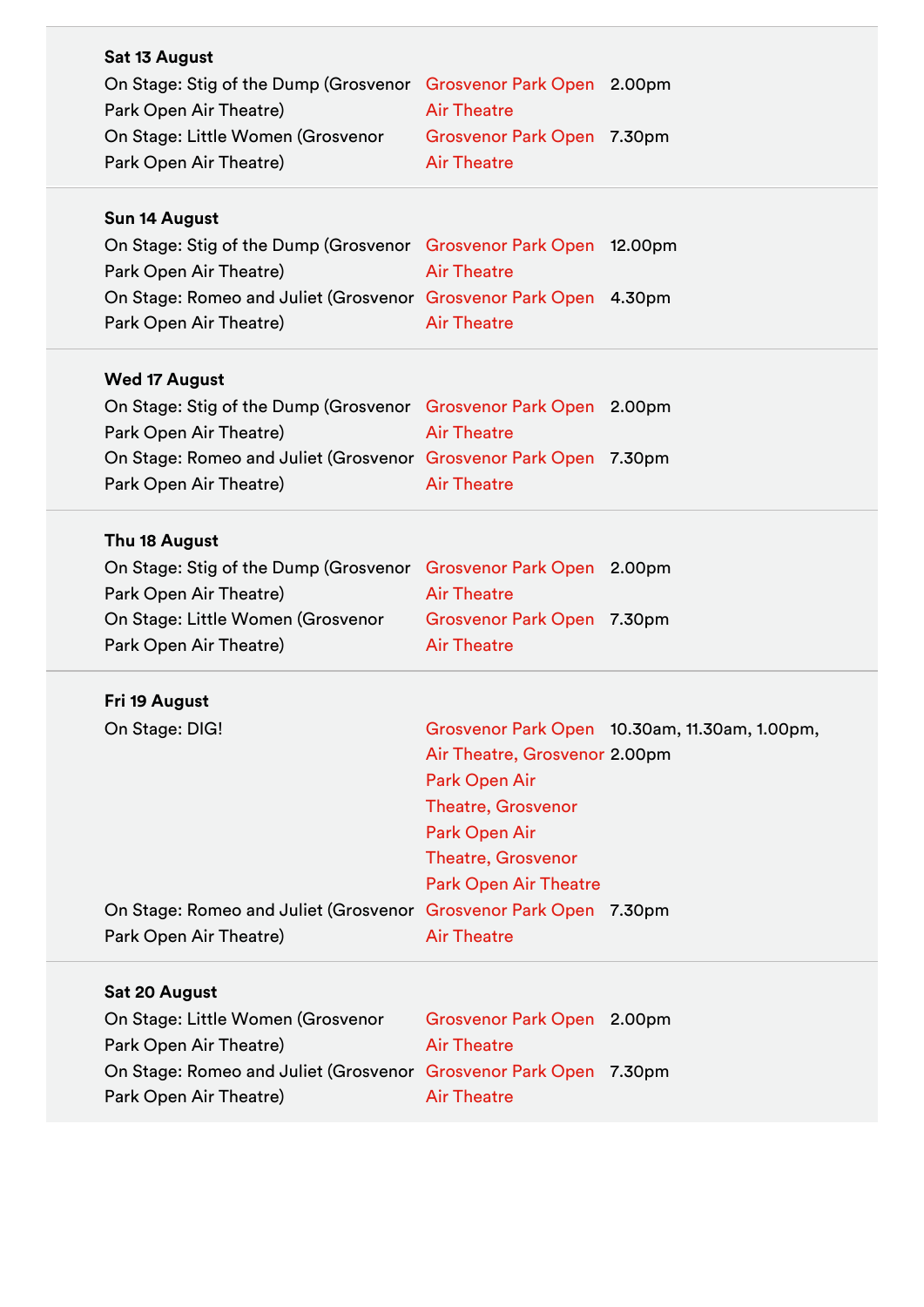| Sat 13 August<br>On Stage: Stig of the Dump (Grosvenor Grosvenor Park Open 2.00pm<br>Park Open Air Theatre)<br>On Stage: Little Women (Grosvenor<br>Park Open Air Theatre) | <b>Air Theatre</b><br>Grosvenor Park Open 7.30pm<br><b>Air Theatre</b>                                                                                    |                                               |
|----------------------------------------------------------------------------------------------------------------------------------------------------------------------------|-----------------------------------------------------------------------------------------------------------------------------------------------------------|-----------------------------------------------|
| Sun 14 August<br>On Stage: Stig of the Dump (Grosvenor Grosvenor Park Open 12.00pm                                                                                         |                                                                                                                                                           |                                               |
| Park Open Air Theatre)<br>On Stage: Romeo and Juliet (Grosvenor Grosvenor Park Open 4.30pm<br>Park Open Air Theatre)                                                       | <b>Air Theatre</b><br><b>Air Theatre</b>                                                                                                                  |                                               |
| <b>Wed 17 August</b>                                                                                                                                                       |                                                                                                                                                           |                                               |
| On Stage: Stig of the Dump (Grosvenor Grosvenor Park Open 2.00pm<br>Park Open Air Theatre)                                                                                 | <b>Air Theatre</b>                                                                                                                                        |                                               |
| On Stage: Romeo and Juliet (Grosvenor Grosvenor Park Open 7.30pm<br>Park Open Air Theatre)                                                                                 | <b>Air Theatre</b>                                                                                                                                        |                                               |
| Thu 18 August                                                                                                                                                              |                                                                                                                                                           |                                               |
| On Stage: Stig of the Dump (Grosvenor Grosvenor Park Open 2.00pm<br>Park Open Air Theatre)                                                                                 | <b>Air Theatre</b>                                                                                                                                        |                                               |
| On Stage: Little Women (Grosvenor<br>Park Open Air Theatre)                                                                                                                | Grosvenor Park Open 7.30pm<br><b>Air Theatre</b>                                                                                                          |                                               |
| Fri 19 August                                                                                                                                                              |                                                                                                                                                           |                                               |
| On Stage: DIG!                                                                                                                                                             | Air Theatre, Grosvenor 2.00pm<br>Park Open Air<br><b>Theatre, Grosvenor</b><br>Park Open Air<br><b>Theatre, Grosvenor</b><br><b>Park Open Air Theatre</b> | Grosvenor Park Open 10.30am, 11.30am, 1.00pm, |
| On Stage: Romeo and Juliet (Grosvenor Grosvenor Park Open 7.30pm<br>Park Open Air Theatre)                                                                                 | <b>Air Theatre</b>                                                                                                                                        |                                               |
| Sat 20 August                                                                                                                                                              |                                                                                                                                                           |                                               |
| On Stage: Little Women (Grosvenor<br>Park Open Air Theatre)                                                                                                                | Grosvenor Park Open 2.00pm<br><b>Air Theatre</b>                                                                                                          |                                               |
| On Stage: Romeo and Juliet (Grosvenor Grosvenor Park Open 7.30pm<br>Park Open Air Theatre)                                                                                 | <b>Air Theatre</b>                                                                                                                                        |                                               |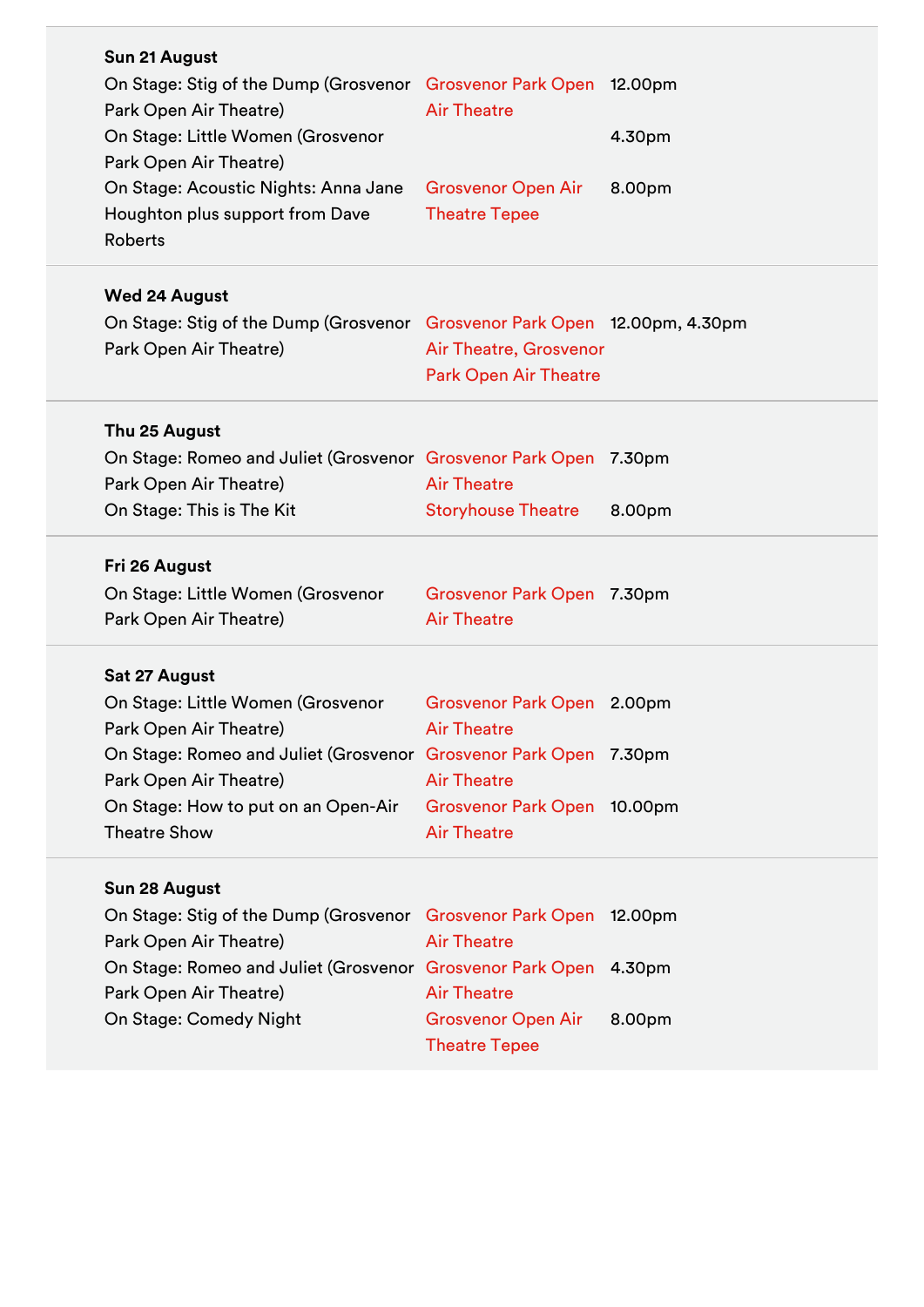| Sun 21 August                                                             |                              |        |
|---------------------------------------------------------------------------|------------------------------|--------|
| On Stage: Stig of the Dump (Grosvenor Grosvenor Park Open 12.00pm         |                              |        |
| Park Open Air Theatre)                                                    | <b>Air Theatre</b>           |        |
| On Stage: Little Women (Grosvenor                                         |                              | 4.30pm |
| Park Open Air Theatre)                                                    |                              |        |
| On Stage: Acoustic Nights: Anna Jane                                      | <b>Grosvenor Open Air</b>    | 8.00pm |
| Houghton plus support from Dave                                           | <b>Theatre Tepee</b>         |        |
| <b>Roberts</b>                                                            |                              |        |
| <b>Wed 24 August</b>                                                      |                              |        |
| On Stage: Stig of the Dump (Grosvenor Grosvenor Park Open 12.00pm, 4.30pm |                              |        |
| Park Open Air Theatre)                                                    | Air Theatre, Grosvenor       |        |
|                                                                           | <b>Park Open Air Theatre</b> |        |
|                                                                           |                              |        |
| Thu 25 August                                                             |                              |        |
| On Stage: Romeo and Juliet (Grosvenor Grosvenor Park Open 7.30pm          |                              |        |
| Park Open Air Theatre)                                                    | <b>Air Theatre</b>           |        |
| On Stage: This is The Kit                                                 | <b>Storyhouse Theatre</b>    | 8.00pm |
| Fri 26 August                                                             |                              |        |
| On Stage: Little Women (Grosvenor                                         | Grosvenor Park Open 7.30pm   |        |
| Park Open Air Theatre)                                                    | <b>Air Theatre</b>           |        |
|                                                                           |                              |        |
| Sat 27 August                                                             |                              |        |
| On Stage: Little Women (Grosvenor                                         | Grosvenor Park Open 2.00pm   |        |
|                                                                           |                              |        |
| Park Open Air Theatre)                                                    | <b>Air Theatre</b>           |        |
| On Stage: Romeo and Juliet (Grosvenor Grosvenor Park Open 7.30pm          |                              |        |
| Park Open Air Theatre)                                                    | <b>Air Theatre</b>           |        |
| On Stage: How to put on an Open-Air                                       | Grosvenor Park Open 10.00pm  |        |
| <b>Theatre Show</b>                                                       | <b>Air Theatre</b>           |        |
|                                                                           |                              |        |
| Sun 28 August                                                             |                              |        |
| On Stage: Stig of the Dump (Grosvenor Grosvenor Park Open 12.00pm         |                              |        |
| Park Open Air Theatre)                                                    | <b>Air Theatre</b>           |        |
| On Stage: Romeo and Juliet (Grosvenor Grosvenor Park Open 4.30pm          | <b>Air Theatre</b>           |        |
| Park Open Air Theatre)<br>On Stage: Comedy Night                          | <b>Grosvenor Open Air</b>    | 8.00pm |